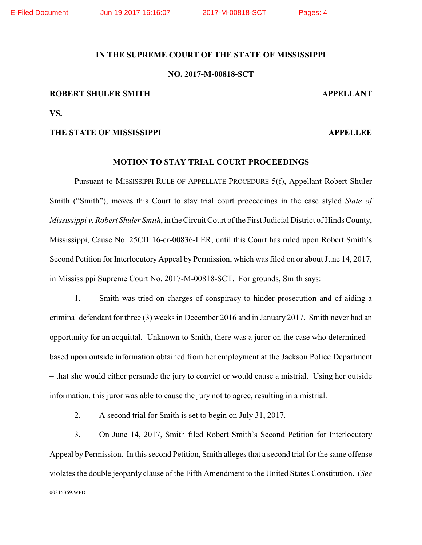## **IN THE SUPREME COURT OF THE STATE OF MISSISSIPPI**

## **NO. 2017-M-00818-SCT**

## **ROBERT SHULER SMITH APPELLANT**

**VS.**

## **THE STATE OF MISSISSIPPI APPELLEE**

### **MOTION TO STAY TRIAL COURT PROCEEDINGS**

Pursuant to MISSISSIPPI RULE OF APPELLATE PROCEDURE 5(f), Appellant Robert Shuler Smith ("Smith"), moves this Court to stay trial court proceedings in the case styled *State of Mississippi v. Robert Shuler Smith*, in the Circuit Court of the First Judicial District of Hinds County, Mississippi, Cause No. 25CI1:16-cr-00836-LER, until this Court has ruled upon Robert Smith's Second Petition for Interlocutory Appeal by Permission, which was filed on or about June 14, 2017, in Mississippi Supreme Court No. 2017-M-00818-SCT. For grounds, Smith says:

1. Smith was tried on charges of conspiracy to hinder prosecution and of aiding a criminal defendant for three (3) weeks in December 2016 and in January 2017. Smith never had an opportunity for an acquittal. Unknown to Smith, there was a juror on the case who determined – based upon outside information obtained from her employment at the Jackson Police Department – that she would either persuade the jury to convict or would cause a mistrial. Using her outside information, this juror was able to cause the jury not to agree, resulting in a mistrial.

2. A second trial for Smith is set to begin on July 31, 2017.

3. On June 14, 2017, Smith filed Robert Smith's Second Petition for Interlocutory Appeal by Permission. In this second Petition, Smith alleges that a second trial for the same offense violates the double jeopardy clause of the Fifth Amendment to the United States Constitution. (*See* 00315369.WPD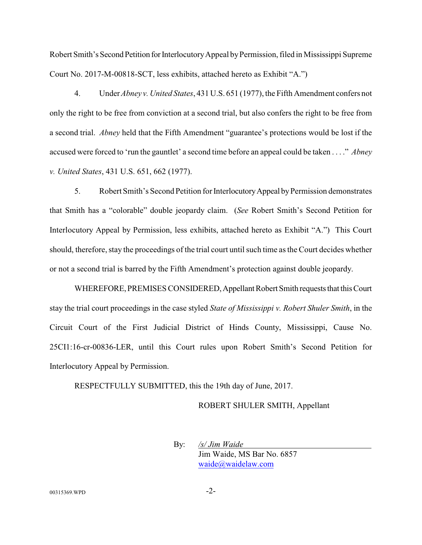Robert Smith's Second Petition for Interlocutory Appeal by Permission, filed in Mississippi Supreme Court No. 2017-M-00818-SCT, less exhibits, attached hereto as Exhibit "A.")

4. Under *Abney v. United States*, 431 U.S. 651 (1977), the Fifth Amendment confers not only the right to be free from conviction at a second trial, but also confers the right to be free from a second trial. *Abney* held that the Fifth Amendment "guarantee's protections would be lost if the accused were forced to 'run the gauntlet' a second time before an appeal could be taken . . . ." *Abney v. United States*, 431 U.S. 651, 662 (1977).

5. Robert Smith's Second Petition for InterlocutoryAppeal byPermission demonstrates that Smith has a "colorable" double jeopardy claim. (*See* Robert Smith's Second Petition for Interlocutory Appeal by Permission, less exhibits, attached hereto as Exhibit "A.") This Court should, therefore, stay the proceedings of the trial court until such time as the Court decides whether or not a second trial is barred by the Fifth Amendment's protection against double jeopardy.

WHEREFORE, PREMISES CONSIDERED, Appellant Robert Smith requests that this Court stay the trial court proceedings in the case styled *State of Mississippi v. Robert Shuler Smith*, in the Circuit Court of the First Judicial District of Hinds County, Mississippi, Cause No. 25CI1:16-cr-00836-LER, until this Court rules upon Robert Smith's Second Petition for Interlocutory Appeal by Permission.

RESPECTFULLY SUBMITTED, this the 19th day of June, 2017.

ROBERT SHULER SMITH, Appellant

By: */s/ Jim Waide* Jim Waide, MS Bar No. 6857 [waide@waidelaw.com](mailto:waide@waidelaw.com)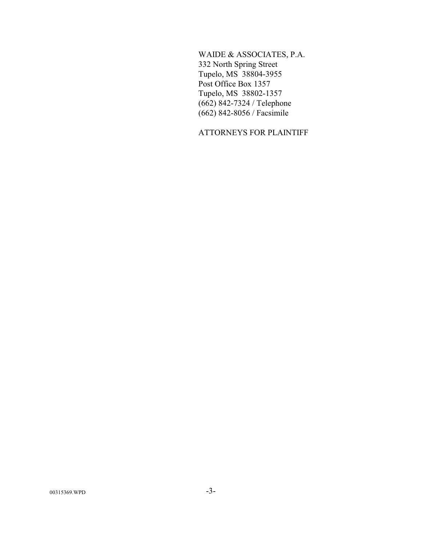WAIDE & ASSOCIATES, P.A. 332 North Spring Street Tupelo, MS 38804-3955 Post Office Box 1357 Tupelo, MS 38802-1357 (662) 842-7324 / Telephone (662) 842-8056 / Facsimile

ATTORNEYS FOR PLAINTIFF